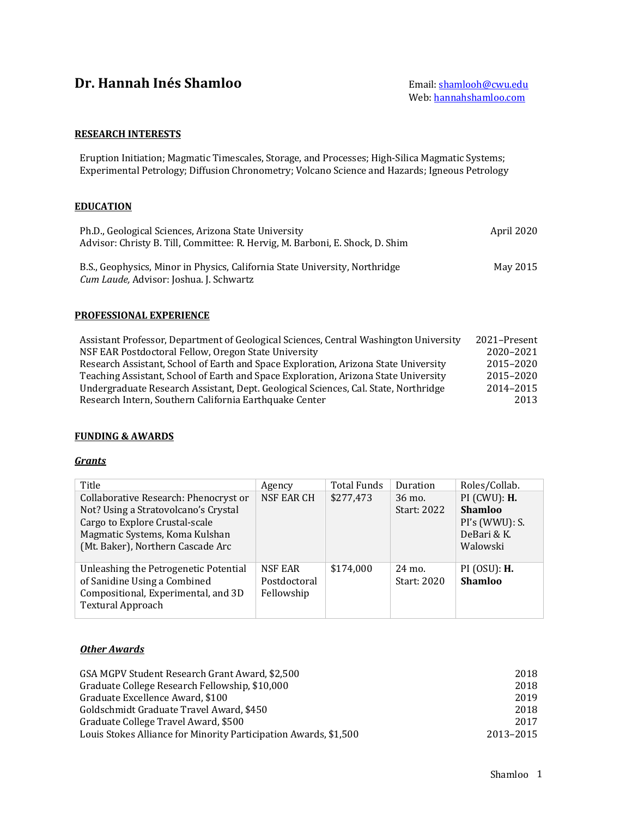# **Dr. Hannah Inés Shamloo** Email: **Email:** Shamlooh@cwu.edu

#### **RESEARCH INTERESTS**

Eruption Initiation; Magmatic Timescales, Storage, and Processes; High-Silica Magmatic Systems; Experimental Petrology; Diffusion Chronometry; Volcano Science and Hazards; Igneous Petrology

#### **EDUCATION**

| Ph.D., Geological Sciences, Arizona State University<br>Advisor: Christy B. Till, Committee: R. Hervig, M. Barboni, E. Shock, D. Shim | April 2020 |
|---------------------------------------------------------------------------------------------------------------------------------------|------------|
| B.S., Geophysics, Minor in Physics, California State University, Northridge<br>Cum Laude, Advisor: Joshua. J. Schwartz                | May 2015   |

#### **PROFESSIONAL EXPERIENCE**

| Assistant Professor, Department of Geological Sciences, Central Washington University | 2021–Present |
|---------------------------------------------------------------------------------------|--------------|
| NSF EAR Postdoctoral Fellow, Oregon State University                                  | 2020-2021    |
| Research Assistant, School of Earth and Space Exploration, Arizona State University   | 2015-2020    |
| Teaching Assistant, School of Earth and Space Exploration, Arizona State University   | 2015-2020    |
| Undergraduate Research Assistant, Dept. Geological Sciences, Cal. State, Northridge   | 2014-2015    |
| Research Intern, Southern California Earthquake Center                                | 2013         |

#### **FUNDING & AWARDS**

#### *Grants*

| Title                                                                                                                                                                                  | Agency                                | <b>Total Funds</b> | Duration              | Roles/Collab.                                                             |
|----------------------------------------------------------------------------------------------------------------------------------------------------------------------------------------|---------------------------------------|--------------------|-----------------------|---------------------------------------------------------------------------|
| Collaborative Research: Phenocryst or<br>Not? Using a Stratovolcano's Crystal<br>Cargo to Explore Crustal-scale<br>Magmatic Systems, Koma Kulshan<br>(Mt. Baker), Northern Cascade Arc | <b>NSF EAR CH</b>                     | \$277,473          | 36 mo.<br>Start: 2022 | $PI$ (CWU): $H$ .<br>Shamloo<br>PI's (WWU): S.<br>DeBari & K.<br>Walowski |
| Unleashing the Petrogenetic Potential<br>of Sanidine Using a Combined<br>Compositional, Experimental, and 3D<br><b>Textural Approach</b>                                               | NSF EAR<br>Postdoctoral<br>Fellowship | \$174,000          | 24 mo.<br>Start: 2020 | $PI$ (OSU): $H$ .<br><b>Shamloo</b>                                       |

#### **Other Awards**

| GSA MGPV Student Research Grant Award, \$2,500                   | 2018      |
|------------------------------------------------------------------|-----------|
| Graduate College Research Fellowship, \$10,000                   | 2018      |
| Graduate Excellence Award, \$100                                 | 2019      |
| Goldschmidt Graduate Travel Award, \$450                         | 2018      |
| Graduate College Travel Award, \$500                             | 2017      |
| Louis Stokes Alliance for Minority Participation Awards, \$1,500 | 2013-2015 |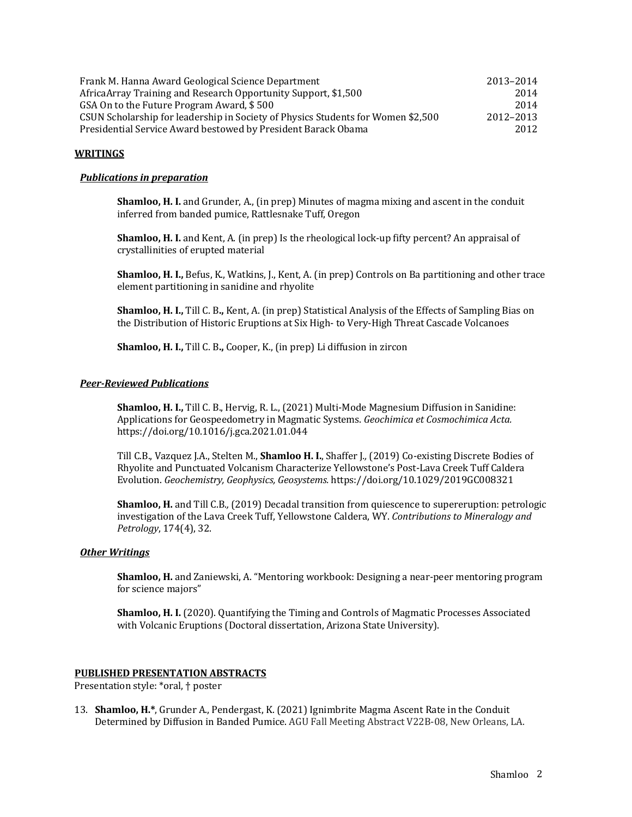| Frank M. Hanna Award Geological Science Department                               | 2013-2014 |
|----------------------------------------------------------------------------------|-----------|
| Africa Array Training and Research Opportunity Support, \$1,500                  | 2014      |
| GSA On to the Future Program Award, \$500                                        | 2014      |
| CSUN Scholarship for leadership in Society of Physics Students for Women \$2,500 | 2012-2013 |
| Presidential Service Award bestowed by President Barack Obama                    | 2012      |

#### **WRITINGS**

#### **Publications in preparation**

**Shamloo, H. I.** and Grunder, A., (in prep) Minutes of magma mixing and ascent in the conduit inferred from banded pumice, Rattlesnake Tuff, Oregon

**Shamloo, H. I.** and Kent, A. (in prep) Is the rheological lock-up fifty percent? An appraisal of crystallinities of erupted material

**Shamloo, H. I., Befus, K., Watkins, J., Kent, A. (in prep) Controls on Ba partitioning and other trace** element partitioning in sanidine and rhyolite

**Shamloo, H. I.,** Till C. B., Kent, A. (in prep) Statistical Analysis of the Effects of Sampling Bias on the Distribution of Historic Eruptions at Six High- to Very-High Threat Cascade Volcanoes

**Shamloo, H. I., Till C. B., Cooper, K., (in prep) Li diffusion in zircon** 

#### *Peer-Reviewed Publications*

**Shamloo, H. I.,** Till C. B., Hervig, R. L., (2021) Multi-Mode Magnesium Diffusion in Sanidine: Applications for Geospeedometry in Magmatic Systems. *Geochimica et Cosmochimica Acta.* https://doi.org/10.1016/j.gca.2021.01.044

Till C.B., Vazquez J.A., Stelten M., **Shamloo H. I.**, Shaffer J., (2019) Co-existing Discrete Bodies of Rhyolite and Punctuated Volcanism Characterize Yellowstone's Post-Lava Creek Tuff Caldera Evolution. *Geochemistry, Geophysics, Geosystems.* https://doi.org/10.1029/2019GC008321

**Shamloo, H.** and Till C.B., (2019) Decadal transition from quiescence to supereruption: petrologic investigation of the Lava Creek Tuff, Yellowstone Caldera, WY. Contributions to Mineralogy and *Petrology*, 174(4), 32.

#### *Other Writings*

**Shamloo, H.** and Zaniewski, A. "Mentoring workbook: Designing a near-peer mentoring program for science majors"

**Shamloo, H. I.** (2020). Quantifying the Timing and Controls of Magmatic Processes Associated with Volcanic Eruptions (Doctoral dissertation, Arizona State University).

#### **PUBLISHED PRESENTATION ABSTRACTS**

Presentation style: \*oral, † poster

13. **Shamloo, H.\***, Grunder A., Pendergast, K. (2021) Ignimbrite Magma Ascent Rate in the Conduit Determined by Diffusion in Banded Pumice. AGU Fall Meeting Abstract V22B-08, New Orleans, LA.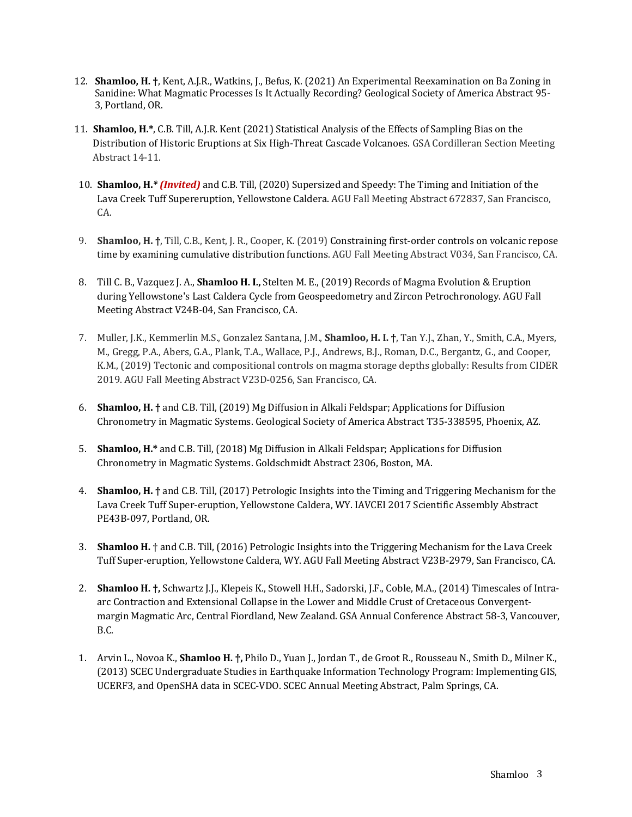- 12. **Shamloo, H.** <sup>†</sup>, Kent, A.J.R., Watkins, J., Befus, K. (2021) An Experimental Reexamination on Ba Zoning in Sanidine: What Magmatic Processes Is It Actually Recording? Geological Society of America Abstract 95-3, Portland, OR.
- 11. **Shamloo, H.\***, C.B. Till, A.J.R. Kent (2021) Statistical Analysis of the Effects of Sampling Bias on the Distribution of Historic Eruptions at Six High-Threat Cascade Volcanoes. GSA Cordilleran Section Meeting Abstract 14-11.
- 10. **Shamloo, H.**<sup>\*</sup> *(Invited)* and C.B. Till, (2020) Supersized and Speedy: The Timing and Initiation of the Lava Creek Tuff Supereruption, Yellowstone Caldera. AGU Fall Meeting Abstract 672837, San Francisco, CA.
- 9. **Shamloo, H.** <sup>†</sup>, Till, C.B., Kent, J. R., Cooper, K. (2019) Constraining first-order controls on volcanic repose time by examining cumulative distribution functions. AGU Fall Meeting Abstract V034, San Francisco, CA.
- 8. Till C. B., Vazquez J. A., **Shamloo H. I.,** Stelten M. E., (2019) Records of Magma Evolution & Eruption during Yellowstone's Last Caldera Cycle from Geospeedometry and Zircon Petrochronology. AGU Fall Meeting Abstract V24B-04, San Francisco, CA.
- 7. Muller, J.K., Kemmerlin M.S., Gonzalez Santana, J.M., **Shamloo, H. I. †**, Tan Y.J., Zhan, Y., Smith, C.A., Myers, M., Gregg, P.A., Abers, G.A., Plank, T.A., Wallace, P.J., Andrews, B.J., Roman, D.C., Bergantz, G., and Cooper, K.M., (2019) Tectonic and compositional controls on magma storage depths globally: Results from CIDER 2019. AGU Fall Meeting Abstract V23D-0256, San Francisco, CA.
- 6. **Shamloo, H.** † and C.B. Till, (2019) Mg Diffusion in Alkali Feldspar; Applications for Diffusion Chronometry in Magmatic Systems. Geological Society of America Abstract T35-338595, Phoenix, AZ.
- 5. **Shamloo, H.\*** and C.B. Till, (2018) Mg Diffusion in Alkali Feldspar; Applications for Diffusion Chronometry in Magmatic Systems. Goldschmidt Abstract 2306, Boston, MA.
- 4. **Shamloo, H.** <sup>†</sup> and C.B. Till, (2017) Petrologic Insights into the Timing and Triggering Mechanism for the Lava Creek Tuff Super-eruption, Yellowstone Caldera, WY. IAVCEI 2017 Scientific Assembly Abstract PE43B-097, Portland, OR.
- 3. **Shamloo H.** † and C.B. Till, (2016) Petrologic Insights into the Triggering Mechanism for the Lava Creek Tuff Super-eruption, Yellowstone Caldera, WY. AGU Fall Meeting Abstract V23B-2979, San Francisco, CA.
- 2. **Shamloo H. †,** Schwartz J.J., Klepeis K., Stowell H.H., Sadorski, J.F., Coble, M.A., (2014) Timescales of Intraarc Contraction and Extensional Collapse in the Lower and Middle Crust of Cretaceous Convergentmargin Magmatic Arc, Central Fiordland, New Zealand. GSA Annual Conference Abstract 58-3, Vancouver, B.C.
- 1. Arvin L., Novoa K., **Shamloo H.** †, Philo D., Yuan J., Jordan T., de Groot R., Rousseau N., Smith D., Milner K., (2013) SCEC Undergraduate Studies in Earthquake Information Technology Program: Implementing GIS, UCERF3, and OpenSHA data in SCEC-VDO. SCEC Annual Meeting Abstract, Palm Springs, CA.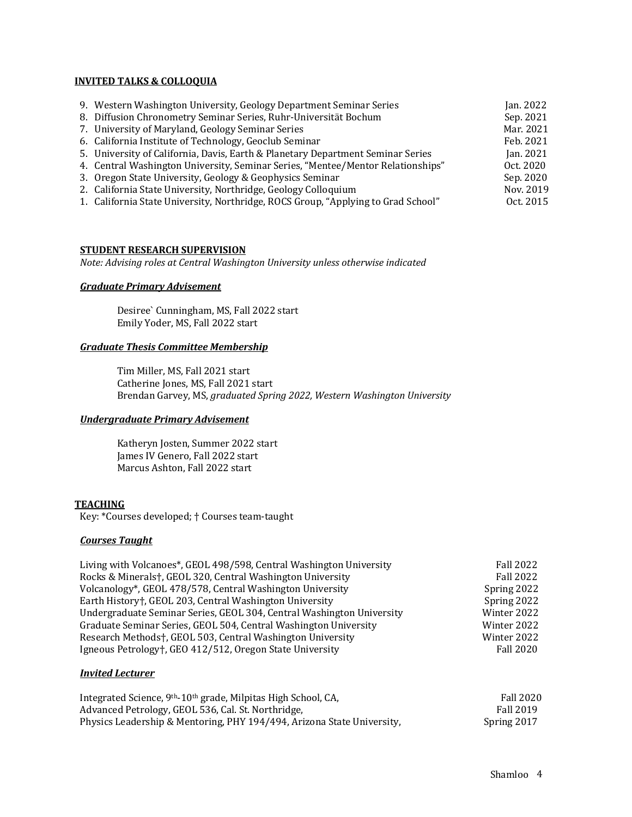#### **INVITED TALKS & COLLOQUIA**

| 9. Western Washington University, Geology Department Seminar Series               | Jan. 2022 |
|-----------------------------------------------------------------------------------|-----------|
| 8. Diffusion Chronometry Seminar Series, Ruhr-Universität Bochum                  | Sep. 2021 |
| 7. University of Maryland, Geology Seminar Series                                 | Mar. 2021 |
| 6. California Institute of Technology, Geoclub Seminar                            | Feb. 2021 |
| 5. University of California, Davis, Earth & Planetary Department Seminar Series   | Jan. 2021 |
| 4. Central Washington University, Seminar Series, "Mentee/Mentor Relationships"   | Oct. 2020 |
| 3. Oregon State University, Geology & Geophysics Seminar                          | Sep. 2020 |
| 2. California State University, Northridge, Geology Colloquium                    | Nov. 2019 |
| 1. California State University, Northridge, ROCS Group, "Applying to Grad School" | Oct. 2015 |
|                                                                                   |           |

#### **STUDENT RESEARCH SUPERVISION**

*Note: Advising roles at Central Washington University unless otherwise indicated* 

#### *Graduate Primary Advisement*

Desiree` Cunningham, MS, Fall 2022 start Emily Yoder, MS, Fall 2022 start

#### *Graduate Thesis Committee Membership*

Tim Miller, MS, Fall 2021 start Catherine Jones, MS, Fall 2021 start Brendan Garvey, MS, *graduated Spring 2022, Western Washington University*

#### *Undergraduate Primary Advisement*

Katheryn Josten, Summer 2022 start James IV Genero, Fall 2022 start Marcus Ashton, Fall 2022 start

#### **TEACHING**

Key: \*Courses developed; † Courses team-taught

#### *Courses Taught*

| Living with Volcanoes*, GEOL 498/598, Central Washington University   | <b>Fall 2022</b> |
|-----------------------------------------------------------------------|------------------|
| Rocks & Minerals†, GEOL 320, Central Washington University            | <b>Fall 2022</b> |
| Volcanology*, GEOL 478/578, Central Washington University             | Spring 2022      |
| Earth History†, GEOL 203, Central Washington University               | Spring 2022      |
| Undergraduate Seminar Series, GEOL 304, Central Washington University | Winter 2022      |
| Graduate Seminar Series, GEOL 504, Central Washington University      | Winter 2022      |
| Research Methods†, GEOL 503, Central Washington University            | Winter 2022      |
| Igneous Petrology†, GEO 412/512, Oregon State University              | <b>Fall 2020</b> |
|                                                                       |                  |

#### *Invited Lecturer*

| Integrated Science, 9 <sup>th</sup> -10 <sup>th</sup> grade, Milpitas High School, CA, | <b>Fall 2020</b> |
|----------------------------------------------------------------------------------------|------------------|
| Advanced Petrology, GEOL 536, Cal. St. Northridge,                                     | Fall 2019        |
| Physics Leadership & Mentoring, PHY 194/494, Arizona State University,                 | Spring 2017      |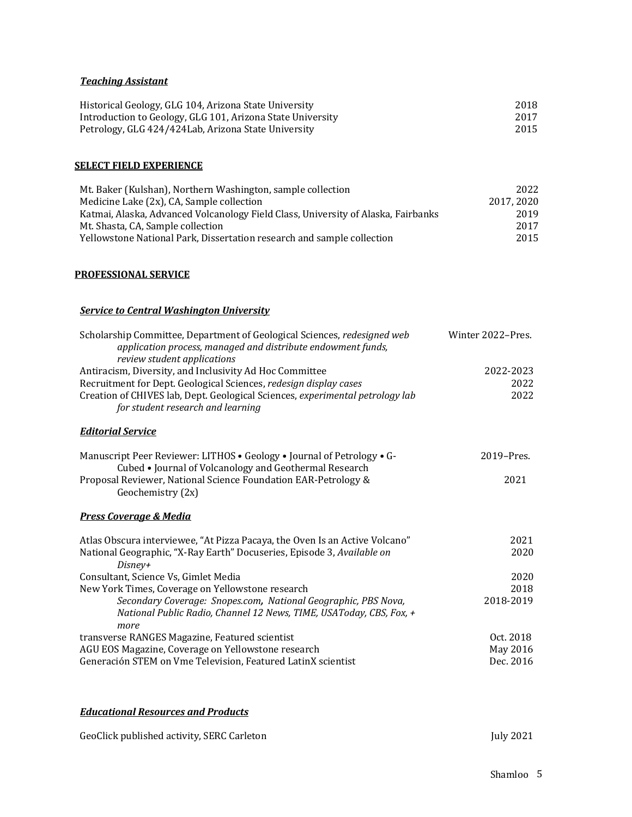## *Teaching Assistant*

| Historical Geology, GLG 104, Arizona State University      | 2018 |
|------------------------------------------------------------|------|
| Introduction to Geology, GLG 101, Arizona State University | 2017 |
| Petrology, GLG 424/424Lab, Arizona State University        | 2015 |

#### **SELECT FIELD EXPERIENCE**

| Mt. Baker (Kulshan), Northern Washington, sample collection                       | 2022      |
|-----------------------------------------------------------------------------------|-----------|
| Medicine Lake (2x), CA, Sample collection                                         | 2017.2020 |
| Katmai, Alaska, Advanced Volcanology Field Class, University of Alaska, Fairbanks | 2019      |
| Mt. Shasta, CA, Sample collection                                                 | 2017      |
| Yellowstone National Park, Dissertation research and sample collection            | 2015      |

## **PROFESSIONAL SERVICE**

## **Service to Central Washington University**

| Scholarship Committee, Department of Geological Sciences, redesigned web<br>application process, managed and distribute endowment funds,<br>review student applications | Winter 2022-Pres. |
|-------------------------------------------------------------------------------------------------------------------------------------------------------------------------|-------------------|
| Antiracism, Diversity, and Inclusivity Ad Hoc Committee                                                                                                                 | 2022-2023         |
| Recruitment for Dept. Geological Sciences, redesign display cases                                                                                                       | 2022              |
| Creation of CHIVES lab, Dept. Geological Sciences, experimental petrology lab<br>for student research and learning                                                      | 2022              |
| <b>Editorial Service</b>                                                                                                                                                |                   |
| Manuscript Peer Reviewer: LITHOS . Geology . Journal of Petrology . G-<br>Cubed • Journal of Volcanology and Geothermal Research                                        | 2019-Pres.        |
| Proposal Reviewer, National Science Foundation EAR-Petrology &<br>Geochemistry (2x)                                                                                     | 2021              |
| <b>Press Coverage &amp; Media</b>                                                                                                                                       |                   |
| Atlas Obscura interviewee, "At Pizza Pacaya, the Oven Is an Active Volcano"                                                                                             | 2021              |
| National Geographic, "X-Ray Earth" Docuseries, Episode 3, Available on<br>Disney+                                                                                       | 2020              |
| Consultant, Science Vs, Gimlet Media                                                                                                                                    | 2020              |
| New York Times, Coverage on Yellowstone research                                                                                                                        | 2018              |
| Secondary Coverage: Snopes.com, National Geographic, PBS Nova,                                                                                                          | 2018-2019         |
| National Public Radio, Channel 12 News, TIME, USAToday, CBS, Fox, +                                                                                                     |                   |
| more                                                                                                                                                                    |                   |
| transverse RANGES Magazine, Featured scientist                                                                                                                          | Oct. 2018         |
| AGU EOS Magazine, Coverage on Yellowstone research                                                                                                                      | May 2016          |
| Generación STEM on Vme Television, Featured LatinX scientist                                                                                                            | Dec. 2016         |

## *Educational Resources and Products*

| GeoClick published activity, SERC Carleton | July 2021 |
|--------------------------------------------|-----------|
|--------------------------------------------|-----------|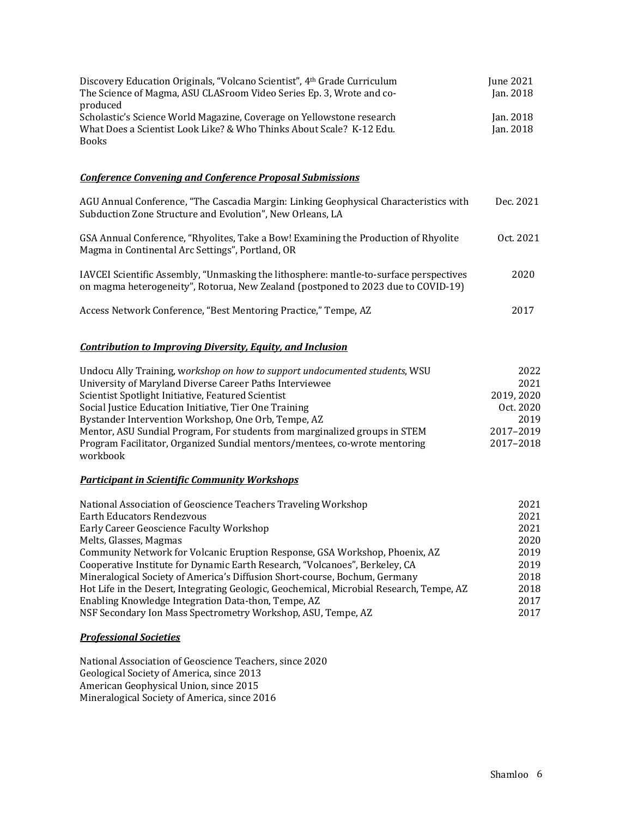| Discovery Education Originals, "Volcano Scientist", 4th Grade Curriculum<br>The Science of Magma, ASU CLASroom Video Series Ep. 3, Wrote and co-<br>produced                | June 2021<br>Jan. 2018 |
|-----------------------------------------------------------------------------------------------------------------------------------------------------------------------------|------------------------|
| Scholastic's Science World Magazine, Coverage on Yellowstone research<br>What Does a Scientist Look Like? & Who Thinks About Scale? K-12 Edu.<br><b>Books</b>               | Jan. 2018<br>Jan. 2018 |
| <b>Conference Convening and Conference Proposal Submissions</b>                                                                                                             |                        |
| AGU Annual Conference, "The Cascadia Margin: Linking Geophysical Characteristics with<br>Subduction Zone Structure and Evolution", New Orleans, LA                          | Dec. 2021              |
| GSA Annual Conference, "Rhyolites, Take a Bow! Examining the Production of Rhyolite<br>Magma in Continental Arc Settings", Portland, OR                                     | Oct. 2021              |
| IAVCEI Scientific Assembly, "Unmasking the lithosphere: mantle-to-surface perspectives<br>on magma heterogeneity", Rotorua, New Zealand (postponed to 2023 due to COVID-19) | 2020                   |
| Access Network Conference, "Best Mentoring Practice," Tempe, AZ                                                                                                             | 2017                   |
| <b>Contribution to Improving Diversity, Equity, and Inclusion</b>                                                                                                           |                        |
| Undocu Ally Training, workshop on how to support undocumented students, WSU                                                                                                 | 2022                   |
| University of Maryland Diverse Career Paths Interviewee                                                                                                                     | 2021                   |
| Scientist Spotlight Initiative, Featured Scientist                                                                                                                          | 2019, 2020             |
| Social Justice Education Initiative, Tier One Training                                                                                                                      | Oct. 2020              |
| Bystander Intervention Workshop, One Orb, Tempe, AZ                                                                                                                         | 2019                   |
| Mentor, ASU Sundial Program, For students from marginalized groups in STEM                                                                                                  | 2017-2019              |
| Program Facilitator, Organized Sundial mentors/mentees, co-wrote mentoring<br>workbook                                                                                      | 2017-2018              |
| <b>Participant in Scientific Community Workshops</b>                                                                                                                        |                        |
| National Association of Geoscience Teachers Traveling Workshop                                                                                                              | 2021                   |
| <b>Earth Educators Rendezvous</b>                                                                                                                                           | 2021                   |
| Early Career Geoscience Faculty Workshop                                                                                                                                    | 2021                   |
| Melts, Glasses, Magmas                                                                                                                                                      | 2020                   |
| Community Network for Volcanic Eruption Response, GSA Workshop, Phoenix, AZ                                                                                                 | 2019                   |
| Cooperative Institute for Dynamic Earth Research, "Volcanoes", Berkeley, CA                                                                                                 | 2019                   |

| Mineralogical Society of America's Diffusion Short-course, Bochum, Germany               | 2018 |
|------------------------------------------------------------------------------------------|------|
| Hot Life in the Desert, Integrating Geologic, Geochemical, Microbial Research, Tempe, AZ | 2018 |
| Enabling Knowledge Integration Data-thon, Tempe, AZ                                      | 2017 |
| NSF Secondary Ion Mass Spectrometry Workshop, ASU, Tempe, AZ                             | 2017 |

## *Professional Societies*

National Association of Geoscience Teachers, since 2020 Geological Society of America, since 2013 American Geophysical Union, since 2015 Mineralogical Society of America, since 2016